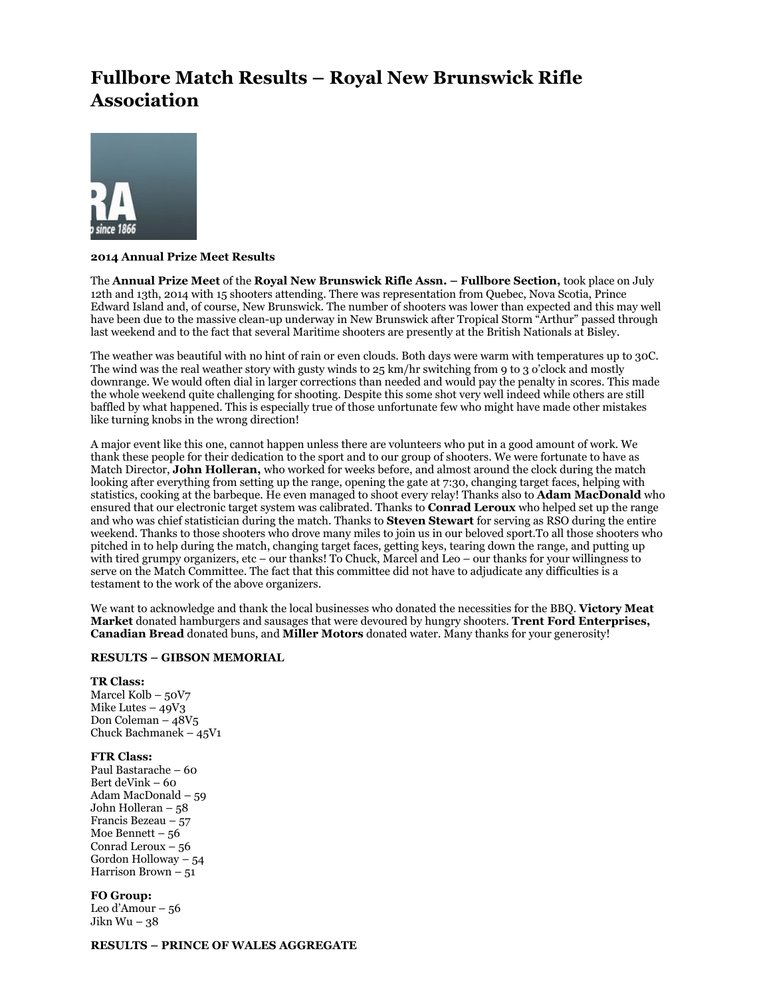# **Fullbore Match Results – Royal New Brunswick Rifle Association**



#### **2014 Annual Prize Meet Results**

The **Annual Prize Meet** of the **Royal New Brunswick Rifle Assn. – Fullbore Section,** took place on July 12th and 13th, 2014 with 15 shooters attending. There was representation from Quebec, Nova Scotia, Prince Edward Island and, of course, New Brunswick. The number of shooters was lower than expected and this may well have been due to the massive clean-up underway in New Brunswick after Tropical Storm "Arthur" passed through last weekend and to the fact that several Maritime shooters are presently at the British Nationals at Bisley.

The weather was beautiful with no hint of rain or even clouds. Both days were warm with temperatures up to 30C. The wind was the real weather story with gusty winds to 25 km/hr switching from 9 to 3 o'clock and mostly downrange. We would often dial in larger corrections than needed and would pay the penalty in scores. This made the whole weekend quite challenging for shooting. Despite this some shot very well indeed while others are still baffled by what happened. This is especially true of those unfortunate few who might have made other mistakes like turning knobs in the wrong direction!

A major event like this one, cannot happen unless there are volunteers who put in a good amount of work. We thank these people for their dedication to the sport and to our group of shooters. We were fortunate to have as Match Director, **John Holleran,** who worked for weeks before, and almost around the clock during the match looking after everything from setting up the range, opening the gate at 7:30, changing target faces, helping with statistics, cooking at the barbeque. He even managed to shoot every relay! Thanks also to **Adam MacDonald** who ensured that our electronic target system was calibrated. Thanks to **Conrad Leroux** who helped set up the range and who was chief statistician during the match. Thanks to **Steven Stewart** for serving as RSO during the entire weekend. Thanks to those shooters who drove many miles to join us in our beloved sport.To all those shooters who pitched in to help during the match, changing target faces, getting keys, tearing down the range, and putting up with tired grumpy organizers, etc – our thanks! To Chuck, Marcel and Leo – our thanks for your willingness to serve on the Match Committee. The fact that this committee did not have to adjudicate any difficulties is a testament to the work of the above organizers.

We want to acknowledge and thank the local businesses who donated the necessities for the BBQ. **Victory Meat Market** donated hamburgers and sausages that were devoured by hungry shooters. **Trent Ford Enterprises, Canadian Bread** donated buns, and **Miller Motors** donated water. Many thanks for your generosity!

#### **RESULTS – GIBSON MEMORIAL**

#### **TR Class:**

Marcel Kolb – 50V7 Mike Lutes  $-49V<sub>3</sub>$ Don Coleman – 48V5 Chuck Bachmanek – 45V1

#### **FTR Class:**

Paul Bastarache – 60 Bert deVink – 60 Adam MacDonald – 59 John Holleran – 58 Francis Bezeau – 57 Moe Bennett  $-56$ Conrad Leroux – 56 Gordon Holloway – 54 Harrison Brown  $-51$ 

#### **FO Group:**

Leo d'Amour – 56 Jikn Wu  $-38$ 

# **RESULTS – PRINCE OF WALES AGGREGATE**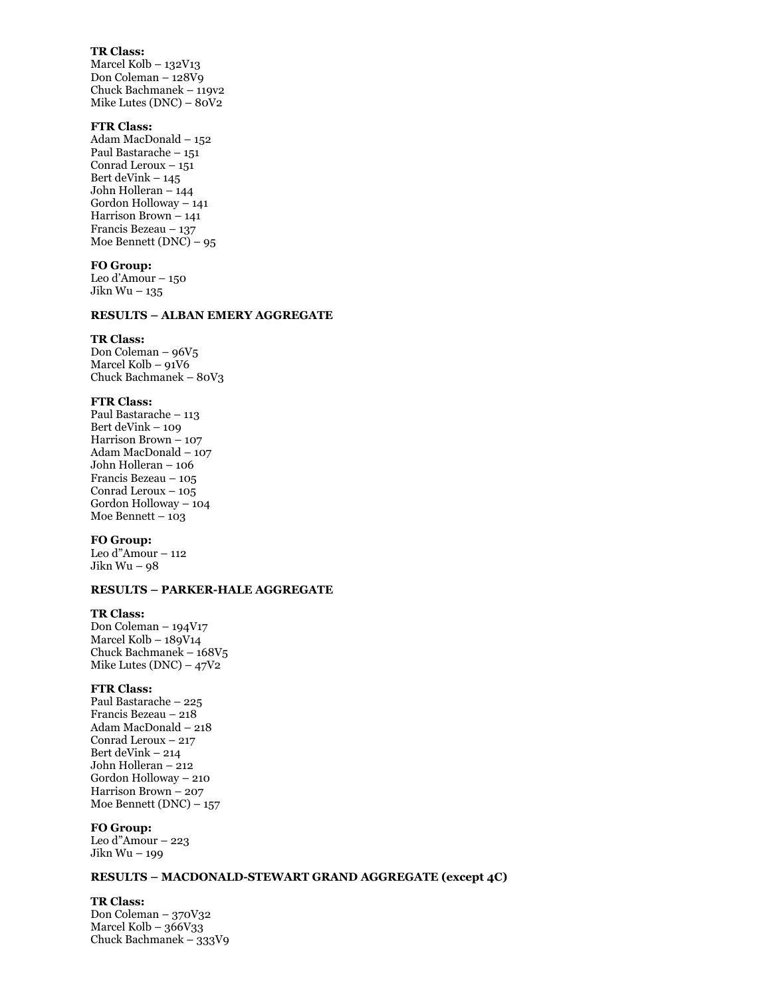## **TR Class:**

Marcel Kolb – 132V13 Don Coleman – 128V9 Chuck Bachmanek – 119v2 Mike Lutes (DNC) – 80V2

#### **FTR Class:**

Adam MacDonald – 152 Paul Bastarache – 151 Conrad Leroux – 151 Bert deVink – 145 John Holleran – 144 Gordon Holloway – 141 Harrison Brown – 141 Francis Bezeau – 137 Moe Bennett (DNC) – 95

# **FO Group:**

Leo d'Amour – 150 Jikn Wu – 135

## **RESULTS – ALBAN EMERY AGGREGATE**

## **TR Class:**

Don Coleman – 96V5 Marcel Kolb – 91V6 Chuck Bachmanek – 80V3

## **FTR Class:**

Paul Bastarache – 113 Bert deVink – 109 Harrison Brown – 107 Adam MacDonald – 107 John Holleran – 106 Francis Bezeau – 105 Conrad Leroux – 105 Gordon Holloway – 104 Moe Bennett – 103

# **FO Group:**

Leo d"Amour – 112 Jikn Wu – 98

# **RESULTS – PARKER-HALE AGGREGATE**

#### **TR Class:**

Don Coleman – 194V17 Marcel Kolb – 189V14 Chuck Bachmanek – 168V5 Mike Lutes (DNC) – 47V2

### **FTR Class:**

Paul Bastarache – 225 Francis Bezeau – 218 Adam MacDonald – 218 Conrad Leroux – 217 Bert deVink – 214 John Holleran – 212 Gordon Holloway – 210 Harrison Brown – 207 Moe Bennett (DNC) – 157

#### **FO Group:**

Leo d"Amour – 223 Jikn Wu – 199

## **RESULTS – MACDONALD-STEWART GRAND AGGREGATE (except 4C)**

#### **TR Class:**

Don Coleman – 370V32 Marcel Kolb  $-366V33$ Chuck Bachmanek – 333V9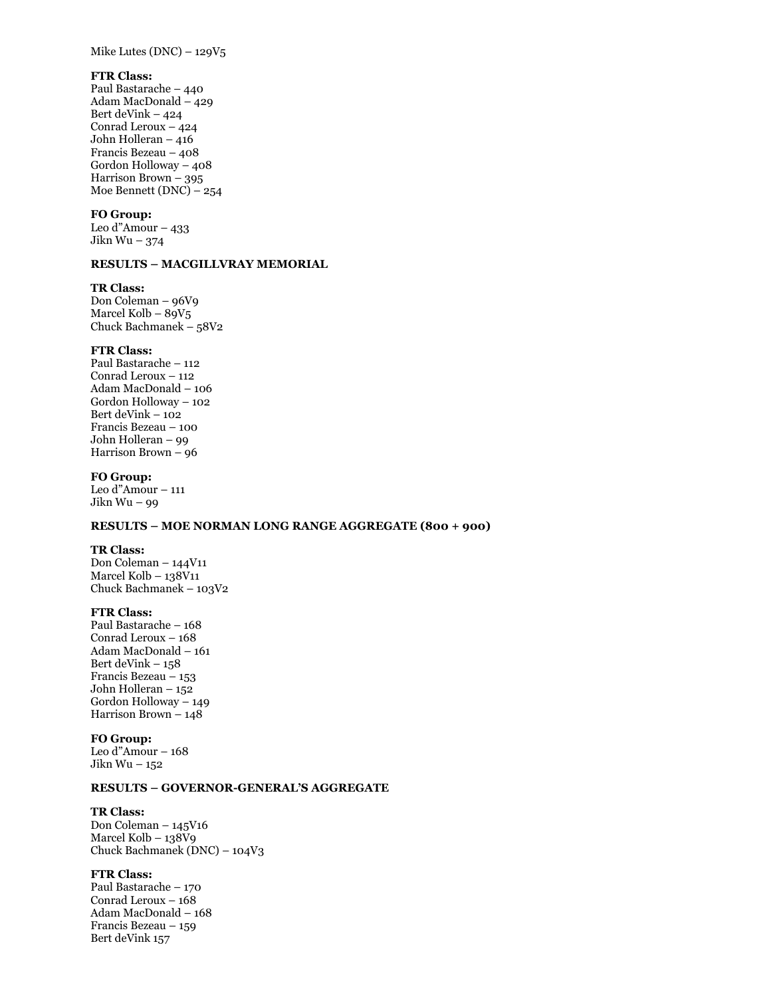## Mike Lutes (DNC) – 129V5

### **FTR Class:**

Paul Bastarache – 440 Adam MacDonald – 429 Bert deVink – 424 Conrad Leroux – 424 John Holleran – 416 Francis Bezeau – 408 Gordon Holloway – 408 Harrison Brown – 395 Moe Bennett (DNC) – 254

# **FO Group:**

Leo d"Amour – 433 Jikn Wu – 374

# **RESULTS – MACGILLVRAY MEMORIAL**

#### **TR Class:**

Don Coleman – 96V9 Marcel Kolb –  $89V_5$ Chuck Bachmanek – 58V2

#### **FTR Class:**

Paul Bastarache – 112 Conrad Leroux – 112 Adam MacDonald – 106 Gordon Holloway – 102 Bert deVink  $-102$ Francis Bezeau – 100 John Holleran – 99 Harrison Brown – 96

#### **FO Group:**

Leo d"Amour – 111 Jikn Wu – 99

# **RESULTS – MOE NORMAN LONG RANGE AGGREGATE (800 + 900)**

#### **TR Class:**

Don Coleman – 144V11 Marcel Kolb – 138V11 Chuck Bachmanek – 103V2

# **FTR Class:**

Paul Bastarache – 168 Conrad Leroux – 168 Adam MacDonald – 161 Bert deVink – 158 Francis Bezeau – 153 John Holleran – 152 Gordon Holloway – 149 Harrison Brown – 148

# **FO Group:**

Leo d"Amour – 168 Jikn Wu – 152

# **RESULTS – GOVERNOR-GENERAL'S AGGREGATE**

#### **TR Class:**

Don Coleman – 145V16 Marcel Kolb – 138V9 Chuck Bachmanek (DNC) – 104V3

## **FTR Class:**

Paul Bastarache – 170 Conrad Leroux – 168 Adam MacDonald – 168 Francis Bezeau – 159 Bert deVink 157